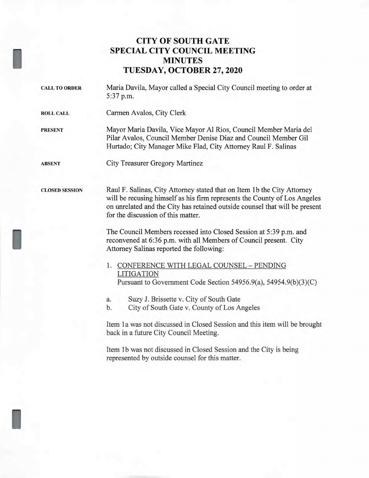## **CITY OF SOUTH GATE SPECIAL CITY COUNCIL MEETING MINUTES TUESDAY, OCTOBER 27, 2020**

**CALL TO ORDER** Maria Davila, Mayor called a Special City Council meeting to order at 5:37 p.m.

**ROLL CALL** Carmen Avalos, City Clerk

**PRESENT** Mayor Maria Davila, Vice Mayor Al Rios, Council Member Maria del Pilar Avalos, Council Member Denise Diaz and Council Member Gil Hurtado; City Manager Mike Flad, City Attorney Raul F. Salinas

I

I

I

**ABSENT** City Treasurer Gregory Martinez

**CLOSED SESSION** Raul F. Salinas, City Attorney stated that on Item 1 b the City Attorney will be recusing himself as his firm represents the County of Los Angeles on unrelated and the City has retained outside counsel that will be present for the discussion of this matter.

> The Council Members recessed into Closed Session at 5:39 p.m. and reconvened at 6:36 p.m. with all Members of Council present. City Attorney Salinas reported the following:

- 1. CONFERENCE WITH LEGAL COUNSEL PENDING LITIGATION Pursuant to Government Code Section 54956.9(a), 54954.9(b)(3)(C)
- a. Suzy J. Brissette v. City of South Gate
- b. City of South Gate v. County of Los Angeles

Item la was not discussed in Closed Session and this item will be brought back in a future City Council Meeting.

Item lb was not discussed in Closed Session and the City is being represented by outside counsel for this matter.